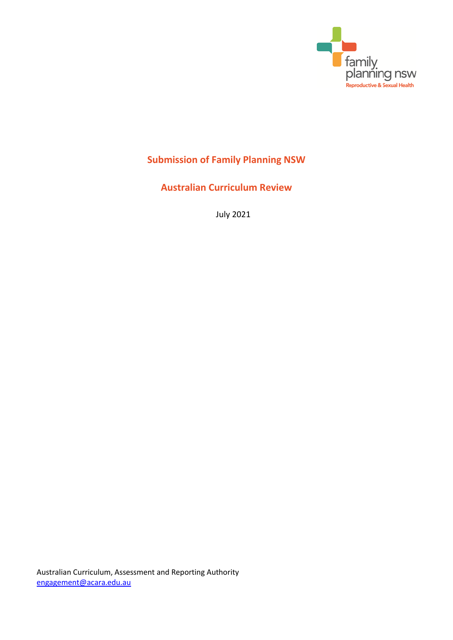

# **Submission of Family Planning NSW**

**Australian Curriculum Review**

July 2021

Australian Curriculum, Assessment and Reporting Authority [engagement@acara.edu.au](mailto:engagement@acara.edu.au)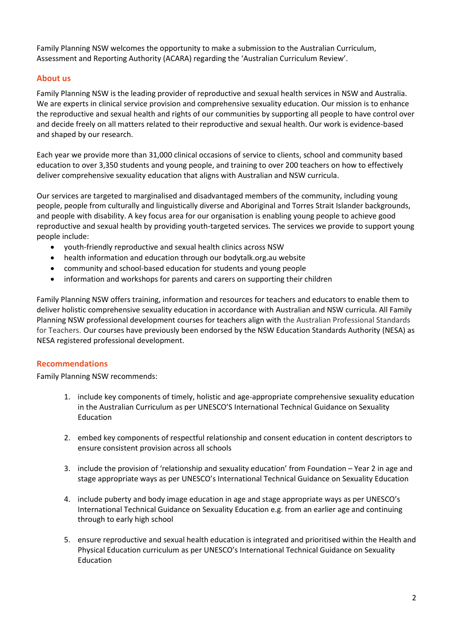Family Planning NSW welcomes the opportunity to make a submission to the Australian Curriculum, Assessment and Reporting Authority (ACARA) regarding the 'Australian Curriculum Review'.

# **About us**

Family Planning NSW is the leading provider of reproductive and sexual health services in NSW and Australia. We are experts in clinical service provision and comprehensive sexuality education. Our mission is to enhance the reproductive and sexual health and rights of our communities by supporting all people to have control over and decide freely on all matters related to their reproductive and sexual health. Our work is evidence-based and shaped by our research.

Each year we provide more than 31,000 clinical occasions of service to clients, school and community based education to over 3,350 students and young people, and training to over 200 teachers on how to effectively deliver comprehensive sexuality education that aligns with Australian and NSW curricula.

Our services are targeted to marginalised and disadvantaged members of the community, including young people, people from culturally and linguistically diverse and Aboriginal and Torres Strait Islander backgrounds, and people with disability. A key focus area for our organisation is enabling young people to achieve good reproductive and sexual health by providing youth-targeted services. The services we provide to support young people include:

- youth-friendly reproductive and sexual health clinics across NSW
- health information and education through our bodytalk.org.au website
- community and school-based education for students and young people
- information and workshops for parents and carers on supporting their children

Family Planning NSW offers training, information and resources for teachers and educators to enable them to deliver holistic comprehensive sexuality education in accordance with Australian and NSW curricula. All Family Planning NSW professional development courses for teachers align with the Australian Professional Standards for Teachers. Our courses have previously been endorsed by the NSW Education Standards Authority (NESA) as NESA registered professional development.

## **Recommendations**

Family Planning NSW recommends:

- 1. include key components of timely, holistic and age-appropriate comprehensive sexuality education in the Australian Curriculum as per UNESCO'S International Technical Guidance on Sexuality Education
- 2. embed key components of respectful relationship and consent education in content descriptors to ensure consistent provision across all schools
- 3. include the provision of 'relationship and sexuality education' from Foundation Year 2 in age and stage appropriate ways as per UNESCO's International Technical Guidance on Sexuality Education
- 4. include puberty and body image education in age and stage appropriate ways as per UNESCO's International Technical Guidance on Sexuality Education e.g. from an earlier age and continuing through to early high school
- 5. ensure reproductive and sexual health education is integrated and prioritised within the Health and Physical Education curriculum as per UNESCO's International Technical Guidance on Sexuality Education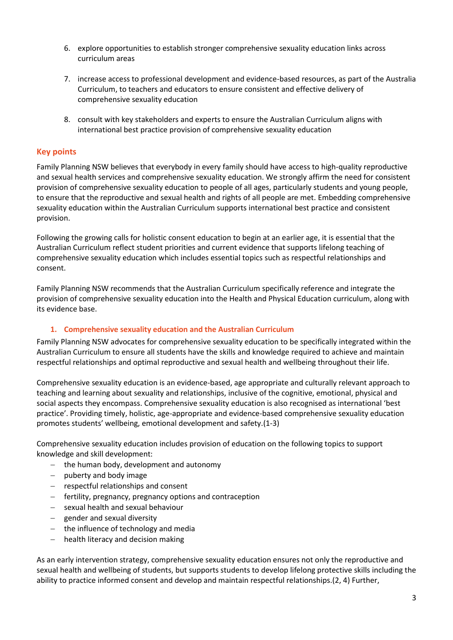- 6. explore opportunities to establish stronger comprehensive sexuality education links across curriculum areas
- 7. increase access to professional development and evidence-based resources, as part of the Australia Curriculum, to teachers and educators to ensure consistent and effective delivery of comprehensive sexuality education
- 8. consult with key stakeholders and experts to ensure the Australian Curriculum aligns with international best practice provision of comprehensive sexuality education

# **Key points**

Family Planning NSW believes that everybody in every family should have access to high-quality reproductive and sexual health services and comprehensive sexuality education. We strongly affirm the need for consistent provision of comprehensive sexuality education to people of all ages, particularly students and young people, to ensure that the reproductive and sexual health and rights of all people are met. Embedding comprehensive sexuality education within the Australian Curriculum supports international best practice and consistent provision.

Following the growing calls for holistic consent education to begin at an earlier age, it is essential that the Australian Curriculum reflect student priorities and current evidence that supports lifelong teaching of comprehensive sexuality education which includes essential topics such as respectful relationships and consent.

Family Planning NSW recommends that the Australian Curriculum specifically reference and integrate the provision of comprehensive sexuality education into the Health and Physical Education curriculum, along with its evidence base.

## **1. Comprehensive sexuality education and the Australian Curriculum**

Family Planning NSW advocates for comprehensive sexuality education to be specifically integrated within the Australian Curriculum to ensure all students have the skills and knowledge required to achieve and maintain respectful relationships and optimal reproductive and sexual health and wellbeing throughout their life.

Comprehensive sexuality education is an evidence-based, age appropriate and culturally relevant approach to teaching and learning about sexuality and relationships, inclusive of the cognitive, emotional, physical and social aspects they encompass. Comprehensive sexuality education is also recognised as international 'best practice'. Providing timely, holistic, age-appropriate and evidence-based comprehensive sexuality education promotes students' wellbeing, emotional development and safety.(1-3)

Comprehensive sexuality education includes provision of education on the following topics to support knowledge and skill development:

- $-$  the human body, development and autonomy
- $-$  puberty and body image
- respectful relationships and consent
- $\overline{\phantom{a}}$  fertility, pregnancy, pregnancy options and contraception
- sexual health and sexual behaviour
- $-$  gender and sexual diversity
- the influence of technology and media
- $-$  health literacy and decision making

As an early intervention strategy, comprehensive sexuality education ensures not only the reproductive and sexual health and wellbeing of students, but supports students to develop lifelong protective skills including the ability to practice informed consent and develop and maintain respectful relationships.(2, 4) Further,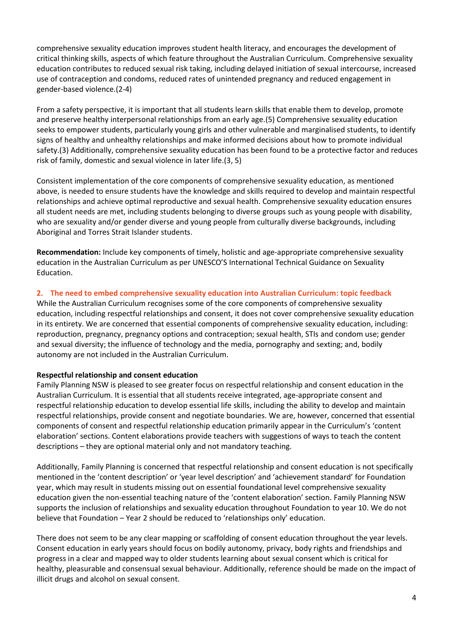comprehensive sexuality education improves student health literacy, and encourages the development of critical thinking skills, aspects of which feature throughout the Australian Curriculum. Comprehensive sexuality education contributes to reduced sexual risk taking, including delayed initiation of sexual intercourse, increased use of contraception and condoms, reduced rates of unintended pregnancy and reduced engagement in gender-based violence.(2-4)

From a safety perspective, it is important that all students learn skills that enable them to develop, promote and preserve healthy interpersonal relationships from an early age.(5) Comprehensive sexuality education seeks to empower students, particularly young girls and other vulnerable and marginalised students, to identify signs of healthy and unhealthy relationships and make informed decisions about how to promote individual safety.(3) Additionally, comprehensive sexuality education has been found to be a protective factor and reduces risk of family, domestic and sexual violence in later life.(3, 5)

Consistent implementation of the core components of comprehensive sexuality education, as mentioned above, is needed to ensure students have the knowledge and skills required to develop and maintain respectful relationships and achieve optimal reproductive and sexual health. Comprehensive sexuality education ensures all student needs are met, including students belonging to diverse groups such as young people with disability, who are sexuality and/or gender diverse and young people from culturally diverse backgrounds, including Aboriginal and Torres Strait Islander students.

**Recommendation:** Include key components of timely, holistic and age-appropriate comprehensive sexuality education in the Australian Curriculum as per UNESCO'S International Technical Guidance on Sexuality Education.

## **2. The need to embed comprehensive sexuality education into Australian Curriculum: topic feedback**

While the Australian Curriculum recognises some of the core components of comprehensive sexuality education, including respectful relationships and consent, it does not cover comprehensive sexuality education in its entirety. We are concerned that essential components of comprehensive sexuality education, including: reproduction, pregnancy, pregnancy options and contraception; sexual health, STIs and condom use; gender and sexual diversity; the influence of technology and the media, pornography and sexting; and, bodily autonomy are not included in the Australian Curriculum.

## **Respectful relationship and consent education**

Family Planning NSW is pleased to see greater focus on respectful relationship and consent education in the Australian Curriculum. It is essential that all students receive integrated, age-appropriate consent and respectful relationship education to develop essential life skills, including the ability to develop and maintain respectful relationships, provide consent and negotiate boundaries. We are, however, concerned that essential components of consent and respectful relationship education primarily appear in the Curriculum's 'content elaboration' sections. Content elaborations provide teachers with suggestions of ways to teach the content descriptions – they are optional material only and not mandatory teaching.

Additionally, Family Planning is concerned that respectful relationship and consent education is not specifically mentioned in the 'content description' or 'year level description' and 'achievement standard' for Foundation year, which may result in students missing out on essential foundational level comprehensive sexuality education given the non-essential teaching nature of the 'content elaboration' section. Family Planning NSW supports the inclusion of relationships and sexuality education throughout Foundation to year 10. We do not believe that Foundation – Year 2 should be reduced to 'relationships only' education.

There does not seem to be any clear mapping or scaffolding of consent education throughout the year levels. Consent education in early years should focus on bodily autonomy, privacy, body rights and friendships and progress in a clear and mapped way to older students learning about sexual consent which is critical for healthy, pleasurable and consensual sexual behaviour. Additionally, reference should be made on the impact of illicit drugs and alcohol on sexual consent.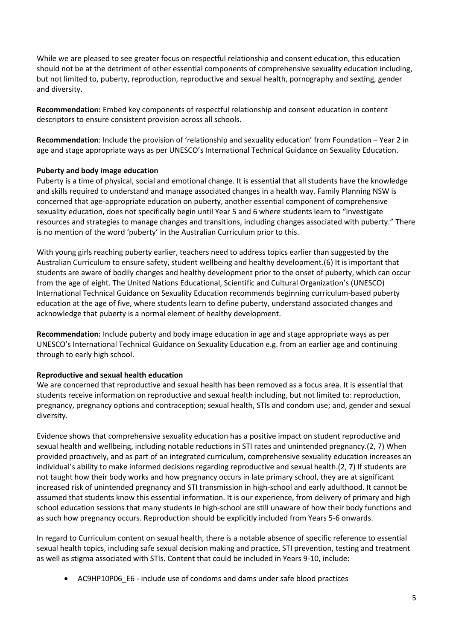While we are pleased to see greater focus on respectful relationship and consent education, this education should not be at the detriment of other essential components of comprehensive sexuality education including, but not limited to, puberty, reproduction, reproductive and sexual health, pornography and sexting, gender and diversity.

**Recommendation:** Embed key components of respectful relationship and consent education in content descriptors to ensure consistent provision across all schools.

**Recommendation**: Include the provision of 'relationship and sexuality education' from Foundation – Year 2 in age and stage appropriate ways as per UNESCO's International Technical Guidance on Sexuality Education.

#### **Puberty and body image education**

Puberty is a time of physical, social and emotional change. It is essential that all students have the knowledge and skills required to understand and manage associated changes in a health way. Family Planning NSW is concerned that age-appropriate education on puberty, another essential component of comprehensive sexuality education, does not specifically begin until Year 5 and 6 where students learn to "investigate resources and strategies to manage changes and transitions, including changes associated with puberty." There is no mention of the word 'puberty' in the Australian Curriculum prior to this.

With young girls reaching puberty earlier, teachers need to address topics earlier than suggested by the Australian Curriculum to ensure safety, student wellbeing and healthy development.(6) It is important that students are aware of bodily changes and healthy development prior to the onset of puberty, which can occur from the age of eight. The United Nations Educational, Scientific and Cultural Organization's (UNESCO) International Technical Guidance on Sexuality Education recommends beginning curriculum-based puberty education at the age of five, where students learn to define puberty, understand associated changes and acknowledge that puberty is a normal element of healthy development.

**Recommendation:** Include puberty and body image education in age and stage appropriate ways as per UNESCO's International Technical Guidance on Sexuality Education e.g. from an earlier age and continuing through to early high school.

#### **Reproductive and sexual health education**

We are concerned that reproductive and sexual health has been removed as a focus area. It is essential that students receive information on reproductive and sexual health including, but not limited to: reproduction, pregnancy, pregnancy options and contraception; sexual health, STIs and condom use; and, gender and sexual diversity.

Evidence shows that comprehensive sexuality education has a positive impact on student reproductive and sexual health and wellbeing, including notable reductions in STI rates and unintended pregnancy.(2, 7) When provided proactively, and as part of an integrated curriculum, comprehensive sexuality education increases an individual's ability to make informed decisions regarding reproductive and sexual health.(2, 7) If students are not taught how their body works and how pregnancy occurs in late primary school, they are at significant increased risk of unintended pregnancy and STI transmission in high-school and early adulthood. It cannot be assumed that students know this essential information. It is our experience, from delivery of primary and high school education sessions that many students in high-school are still unaware of how their body functions and as such how pregnancy occurs. Reproduction should be explicitly included from Years 5-6 onwards.

In regard to Curriculum content on sexual health, there is a notable absence of specific reference to essential sexual health topics, including safe sexual decision making and practice, STI prevention, testing and treatment as well as stigma associated with STIs. Content that could be included in Years 9-10, include:

AC9HP10P06\_E6 - include use of condoms and dams under safe blood practices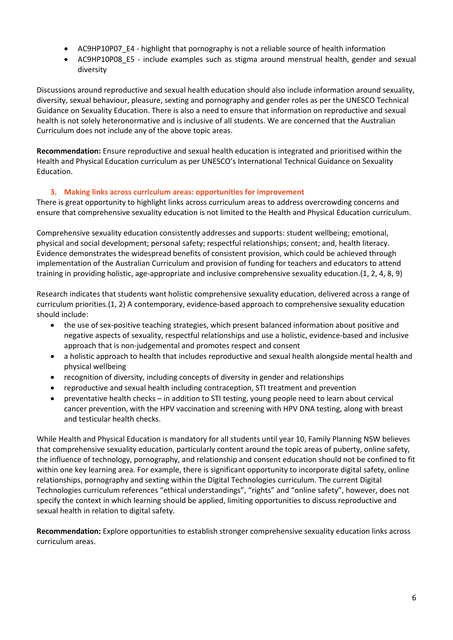- AC9HP10P07\_E4 highlight that pornography is not a reliable source of health information
- AC9HP10P08\_E5 include examples such as stigma around menstrual health, gender and sexual diversity

Discussions around reproductive and sexual health education should also include information around sexuality, diversity, sexual behaviour, pleasure, sexting and pornography and gender roles as per the UNESCO Technical Guidance on Sexuality Education. There is also a need to ensure that information on reproductive and sexual health is not solely heteronormative and is inclusive of all students. We are concerned that the Australian Curriculum does not include any of the above topic areas.

**Recommendation:** Ensure reproductive and sexual health education is integrated and prioritised within the Health and Physical Education curriculum as per UNESCO's International Technical Guidance on Sexuality Education.

# **3. Making links across curriculum areas: opportunities for improvement**

There is great opportunity to highlight links across curriculum areas to address overcrowding concerns and ensure that comprehensive sexuality education is not limited to the Health and Physical Education curriculum.

Comprehensive sexuality education consistently addresses and supports: student wellbeing; emotional, physical and social development; personal safety; respectful relationships; consent; and, health literacy. Evidence demonstrates the widespread benefits of consistent provision, which could be achieved through implementation of the Australian Curriculum and provision of funding for teachers and educators to attend training in providing holistic, age-appropriate and inclusive comprehensive sexuality education.(1, 2, 4, 8, 9)

Research indicates that students want holistic comprehensive sexuality education, delivered across a range of curriculum priorities.(1, 2) A contemporary, evidence-based approach to comprehensive sexuality education should include:

- the use of sex-positive teaching strategies, which present balanced information about positive and negative aspects of sexuality, respectful relationships and use a holistic, evidence-based and inclusive approach that is non-judgemental and promotes respect and consent
- a holistic approach to health that includes reproductive and sexual health alongside mental health and physical wellbeing
- recognition of diversity, including concepts of diversity in gender and relationships
- reproductive and sexual health including contraception, STI treatment and prevention
- preventative health checks in addition to STI testing, young people need to learn about cervical cancer prevention, with the HPV vaccination and screening with HPV DNA testing, along with breast and testicular health checks.

While Health and Physical Education is mandatory for all students until year 10, Family Planning NSW believes that comprehensive sexuality education, particularly content around the topic areas of puberty, online safety, the influence of technology, pornography, and relationship and consent education should not be confined to fit within one key learning area. For example, there is significant opportunity to incorporate digital safety, online relationships, pornography and sexting within the Digital Technologies curriculum. The current Digital Technologies curriculum references "ethical understandings", "rights" and "online safety", however, does not specify the context in which learning should be applied, limiting opportunities to discuss reproductive and sexual health in relation to digital safety.

**Recommendation:** Explore opportunities to establish stronger comprehensive sexuality education links across curriculum areas.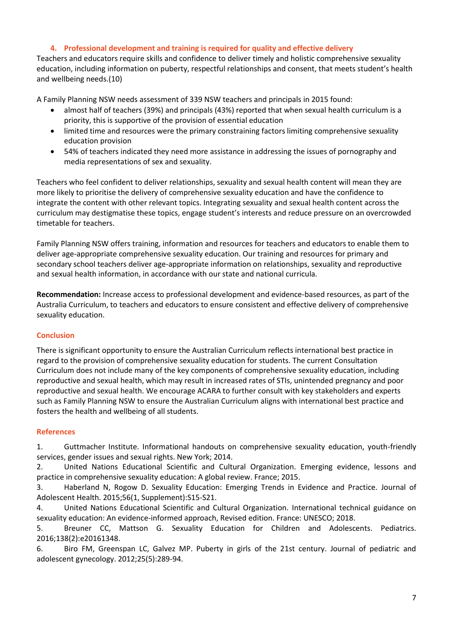## **4. Professional development and training is required for quality and effective delivery**

Teachers and educators require skills and confidence to deliver timely and holistic comprehensive sexuality education, including information on puberty, respectful relationships and consent, that meets student's health and wellbeing needs.(10)

A Family Planning NSW needs assessment of 339 NSW teachers and principals in 2015 found:

- almost half of teachers (39%) and principals (43%) reported that when sexual health curriculum is a priority, this is supportive of the provision of essential education
- limited time and resources were the primary constraining factors limiting comprehensive sexuality education provision
- 54% of teachers indicated they need more assistance in addressing the issues of pornography and media representations of sex and sexuality.

Teachers who feel confident to deliver relationships, sexuality and sexual health content will mean they are more likely to prioritise the delivery of comprehensive sexuality education and have the confidence to integrate the content with other relevant topics. Integrating sexuality and sexual health content across the curriculum may destigmatise these topics, engage student's interests and reduce pressure on an overcrowded timetable for teachers.

Family Planning NSW offers training, information and resources for teachers and educators to enable them to deliver age-appropriate comprehensive sexuality education. Our training and resources for primary and secondary school teachers deliver age-appropriate information on relationships, sexuality and reproductive and sexual health information, in accordance with our state and national curricula.

**Recommendation:** Increase access to professional development and evidence-based resources, as part of the Australia Curriculum, to teachers and educators to ensure consistent and effective delivery of comprehensive sexuality education.

## **Conclusion**

There is significant opportunity to ensure the Australian Curriculum reflects international best practice in regard to the provision of comprehensive sexuality education for students. The current Consultation Curriculum does not include many of the key components of comprehensive sexuality education, including reproductive and sexual health, which may result in increased rates of STIs, unintended pregnancy and poor reproductive and sexual health. We encourage ACARA to further consult with key stakeholders and experts such as Family Planning NSW to ensure the Australian Curriculum aligns with international best practice and fosters the health and wellbeing of all students.

## **References**

1. Guttmacher Institute. Informational handouts on comprehensive sexuality education, youth-friendly services, gender issues and sexual rights. New York; 2014.

2. United Nations Educational Scientific and Cultural Organization. Emerging evidence, lessons and practice in comprehensive sexuality education: A global review. France; 2015.

3. Haberland N, Rogow D. Sexuality Education: Emerging Trends in Evidence and Practice. Journal of Adolescent Health. 2015;56(1, Supplement):S15-S21.

4. United Nations Educational Scientific and Cultural Organization. International technical guidance on sexuality education: An evidence-informed approach, Revised edition. France: UNESCO; 2018.

5. Breuner CC, Mattson G. Sexuality Education for Children and Adolescents. Pediatrics. 2016;138(2):e20161348.

6. Biro FM, Greenspan LC, Galvez MP. Puberty in girls of the 21st century. Journal of pediatric and adolescent gynecology. 2012;25(5):289-94.